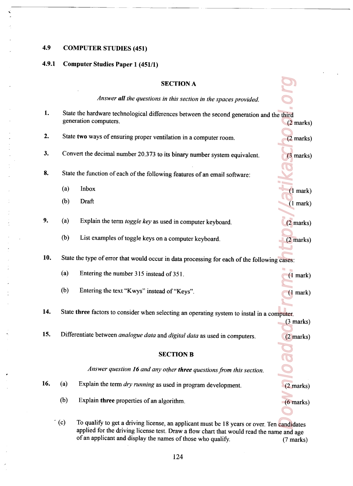## 4.9

## COMPUTER STUDIES (451)

## 4.9.1 Computer Studies Paper <sup>1</sup> (451/1)

|     |                                                                                                                   | <b>SECTION A</b>                                                                           |                                    |  |  |
|-----|-------------------------------------------------------------------------------------------------------------------|--------------------------------------------------------------------------------------------|------------------------------------|--|--|
|     |                                                                                                                   | Answer all the questions in this section in the spaces provided.                           |                                    |  |  |
| 1.  | State the hardware technological differences between the second generation and the third<br>generation computers. |                                                                                            |                                    |  |  |
| 2.  | State two ways of ensuring proper ventilation in a computer room.                                                 | $(2$ marks)                                                                                |                                    |  |  |
| 3.  |                                                                                                                   | Convert the decimal number 20.373 to its binary number system equivalent.                  |                                    |  |  |
| 8.  |                                                                                                                   | State the function of each of the following features of an email software:                 |                                    |  |  |
|     | (a)                                                                                                               | Inbox                                                                                      | (1 mark)                           |  |  |
|     | (b)                                                                                                               | Draft                                                                                      | (1 mark)                           |  |  |
| 9.  | (a)                                                                                                               | Explain the term toggle key as used in computer keyboard.                                  | $(2 \text{ marks})$                |  |  |
|     | (b)                                                                                                               | List examples of toggle keys on a computer keyboard.                                       | $(2 \text{ marks})$                |  |  |
| 10. | State the type of error that would occur in data processing for each of the following cases:                      |                                                                                            |                                    |  |  |
|     | (a)                                                                                                               | Entering the number 315 instead of 351.                                                    | $(1$ mark)                         |  |  |
|     | (b)                                                                                                               | Entering the text "Kwys" instead of "Keys".                                                | $(1$ mark)                         |  |  |
| 14. | State three factors to consider when selecting an operating system to instal in a computer.                       |                                                                                            |                                    |  |  |
| 15. |                                                                                                                   | Differentiate between analogue data and digital data as used in computers.                 | $(3 \text{ marks})$<br>$(2$ marks) |  |  |
|     |                                                                                                                   | <b>SECTION B</b>                                                                           |                                    |  |  |
|     |                                                                                                                   |                                                                                            |                                    |  |  |
|     |                                                                                                                   | Answer question 16 and any other three questions from this section.                        |                                    |  |  |
| 16. | (a)                                                                                                               | Explain the term dry running as used in program development.                               | $(2 \text{ marks})$                |  |  |
|     | (b)                                                                                                               | Explain three properties of an algorithm.                                                  | $(6$ marks)                        |  |  |
|     | $\in$ (c)                                                                                                         | To qualify to get a driving license, an applicant must be 18 years or over. Ten candidates |                                    |  |  |

(c) To qualify to get a driving license, an applicant must be 18 years or over. Ten candidates applied for the driving license test. Draw a flow chart that would read the name and age of an applicant and display the names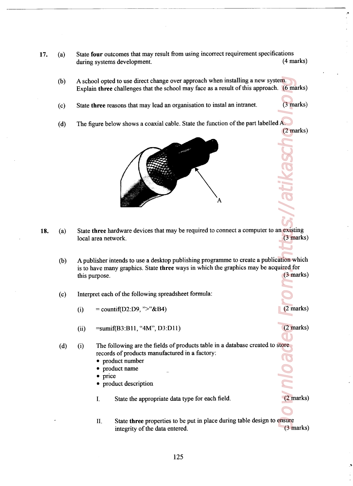- 17. (a) State four outcomes that may result from using incorrect requirement specifications during systems development. (4 marks)
	- (b) A school opted to use direct change over approach when installing <sup>a</sup> new system. Explain three challenges that the school may face as a result of this approach. (6 marks)
	- (C) State three reasons that may lead an organisation to instal an intranet. (3 marks)
	- (d) The figure below shows a coaxial cable. State the function of the part labelled A. (2 marks)



- 18. (a) State three hardware devices that may be required to connect a computer to an existing local area network, (3 marks)
- m. (6 mark)<br>
(3 mark)<br>
A. (2 mark)<br>
Comark (3 mark)<br>
(3 mark)<br>
(2 mark)<br>
(2 mark)<br>
(2 mark)<br>
(2 mark)<br>
(3 mark)<br>
(2 mark)<br>
(3 mark) (b) A publisher intends to use a desktop publishing programme to create a publication which is to have many graphics. State three ways in which the graphics may be acquired for this purpose. (3 marks)
	- $(c)$ Interpret each of the following spreadsheet formula:
		- (i)  $=$  countif(D2:D9, ">"&B4) (2 marks)
		- (ii)  $=sumif(B3:B11, "4M", D3:D11)$  (2 marks)
	- (d) f the following spreadsheet formula:<br>
	(D2:D9, ">"&B4)<br>
	33:B11, "4M", D3:D11)<br>
	wing are the fields of products table in a<br>
	f products manufactured in a factory:<br>
	xt number<br>
	xt description<br>
	tate the appropriate data type for (i) The following are the fields of products table in a database created to store records of products manufactured in a factory:
		- 0 product number
		- 0 product name
		- price
		- product description
		- State the appropriate data type for each field. (2 marks) I.
		- 11. State three properties to be put in place during table design to ensure integrity of the data entered. (3 marks)